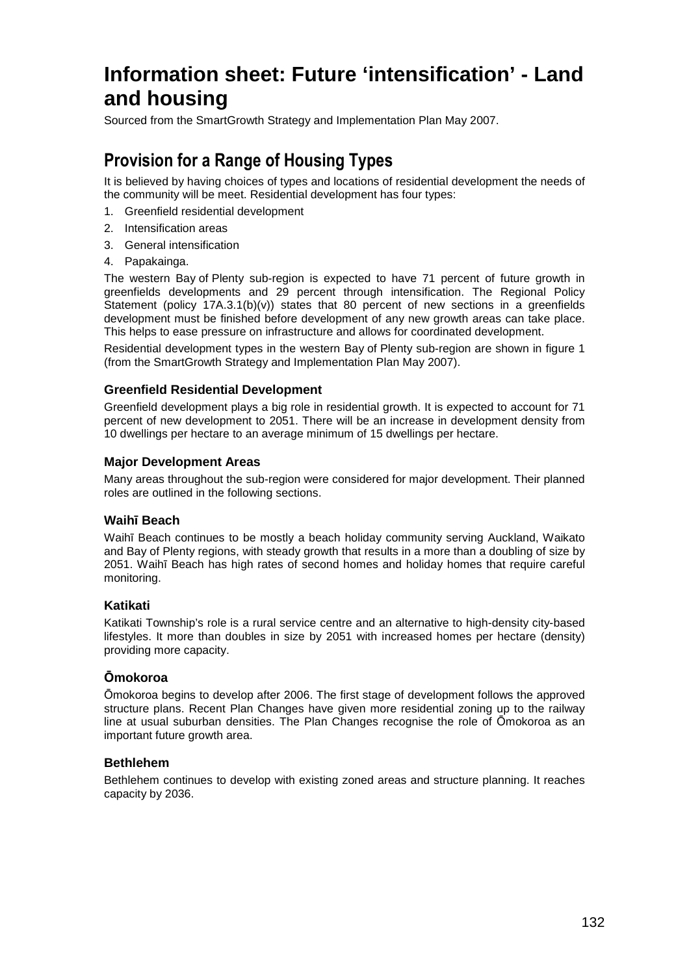# **Information sheet: Future 'intensification' - Land and housing**

Sourced from the SmartGrowth Strategy and Implementation Plan May 2007.

## **Provision for a Range of Housing Types**

It is believed by having choices of types and locations of residential development the needs of the community will be meet. Residential development has four types:

- 1. Greenfield residential development
- 2. Intensification areas
- 3. General intensification
- 4. Papakainga.

The western Bay of Plenty sub-region is expected to have 71 percent of future growth in greenfields developments and 29 percent through intensification. The Regional Policy Statement (policy  $17A.3.1(b)(v)$ ) states that 80 percent of new sections in a greenfields development must be finished before development of any new growth areas can take place. This helps to ease pressure on infrastructure and allows for coordinated development.

Residential development types in the western Bay of Plenty sub-region are shown in figure 1 (from the SmartGrowth Strategy and Implementation Plan May 2007).

## **Greenfield Residential Development**

Greenfield development plays a big role in residential growth. It is expected to account for 71 percent of new development to 2051. There will be an increase in development density from 10 dwellings per hectare to an average minimum of 15 dwellings per hectare.

## **Major Development Areas**

Many areas throughout the sub-region were considered for major development. Their planned roles are outlined in the following sections.

## **Waihī Beach**

Waihī Beach continues to be mostly a beach holiday community serving Auckland, Waikato and Bay of Plenty regions, with steady growth that results in a more than a doubling of size by 2051. Waihī Beach has high rates of second homes and holiday homes that require careful monitoring.

## **Katikati**

Katikati Township's role is a rural service centre and an alternative to high-density city-based lifestyles. It more than doubles in size by 2051 with increased homes per hectare (density) providing more capacity.

## **Ōmokoroa**

Ōmokoroa begins to develop after 2006. The first stage of development follows the approved structure plans. Recent Plan Changes have given more residential zoning up to the railway line at usual suburban densities. The Plan Changes recognise the role of Ōmokoroa as an important future growth area.

## **Bethlehem**

Bethlehem continues to develop with existing zoned areas and structure planning. It reaches capacity by 2036.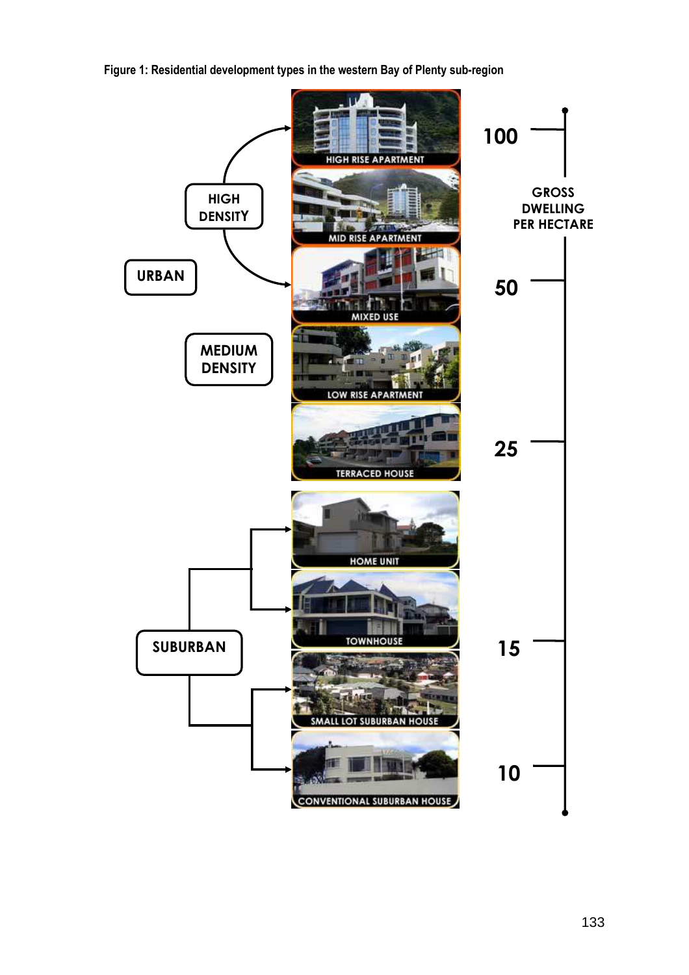**Figure 1: Residential development types in the western Bay of Plenty sub-region** 

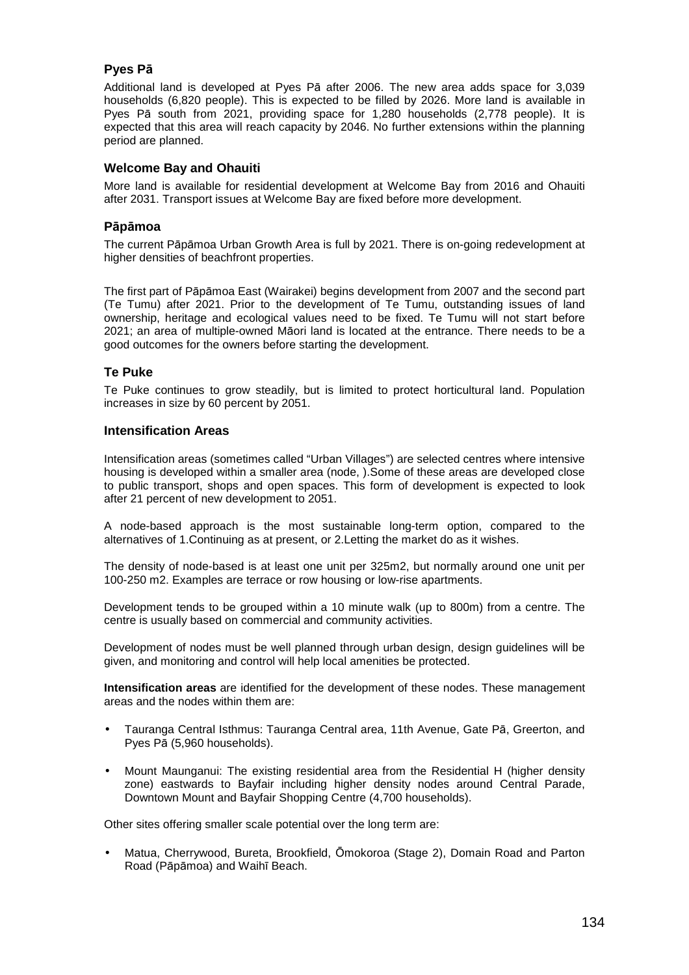#### **Pyes Pā**

Additional land is developed at Pyes Pā after 2006. The new area adds space for 3,039 households (6,820 people). This is expected to be filled by 2026. More land is available in Pyes Pā south from 2021, providing space for 1,280 households (2,778 people). It is expected that this area will reach capacity by 2046. No further extensions within the planning period are planned.

#### **Welcome Bay and Ohauiti**

More land is available for residential development at Welcome Bay from 2016 and Ohauiti after 2031. Transport issues at Welcome Bay are fixed before more development.

#### **Pāpāmoa**

The current Pāpāmoa Urban Growth Area is full by 2021. There is on-going redevelopment at higher densities of beachfront properties.

The first part of Pāpāmoa East (Wairakei) begins development from 2007 and the second part (Te Tumu) after 2021. Prior to the development of Te Tumu, outstanding issues of land ownership, heritage and ecological values need to be fixed. Te Tumu will not start before 2021; an area of multiple-owned Māori land is located at the entrance. There needs to be a good outcomes for the owners before starting the development.

#### **Te Puke**

Te Puke continues to grow steadily, but is limited to protect horticultural land. Population increases in size by 60 percent by 2051.

#### **Intensification Areas**

Intensification areas (sometimes called "Urban Villages") are selected centres where intensive housing is developed within a smaller area (node, ).Some of these areas are developed close to public transport, shops and open spaces. This form of development is expected to look after 21 percent of new development to 2051.

A node-based approach is the most sustainable long-term option, compared to the alternatives of 1.Continuing as at present, or 2.Letting the market do as it wishes.

The density of node-based is at least one unit per 325m2, but normally around one unit per 100-250 m2. Examples are terrace or row housing or low-rise apartments.

Development tends to be grouped within a 10 minute walk (up to 800m) from a centre. The centre is usually based on commercial and community activities.

Development of nodes must be well planned through urban design, design guidelines will be given, and monitoring and control will help local amenities be protected.

**Intensification areas** are identified for the development of these nodes. These management areas and the nodes within them are:

- Tauranga Central Isthmus: Tauranga Central area, 11th Avenue, Gate Pā, Greerton, and Pyes Pā (5,960 households).
- Mount Maunganui: The existing residential area from the Residential H (higher density zone) eastwards to Bayfair including higher density nodes around Central Parade, Downtown Mount and Bayfair Shopping Centre (4,700 households).

Other sites offering smaller scale potential over the long term are:

• Matua, Cherrywood, Bureta, Brookfield, Ōmokoroa (Stage 2), Domain Road and Parton Road (Pāpāmoa) and Waihī Beach.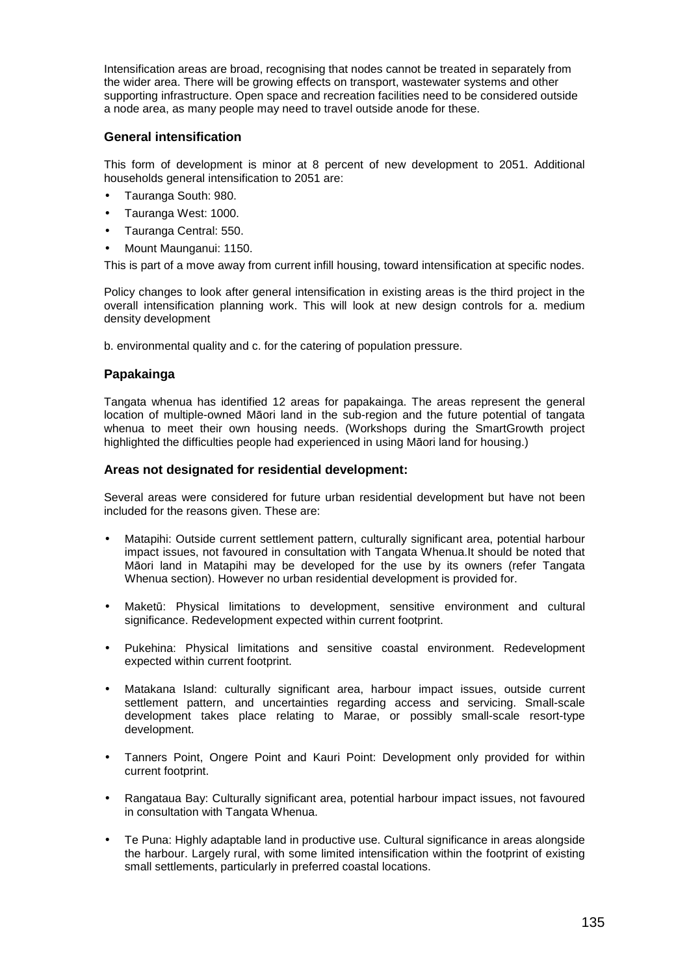Intensification areas are broad, recognising that nodes cannot be treated in separately from the wider area. There will be growing effects on transport, wastewater systems and other supporting infrastructure. Open space and recreation facilities need to be considered outside a node area, as many people may need to travel outside anode for these.

#### **General intensification**

This form of development is minor at 8 percent of new development to 2051. Additional households general intensification to 2051 are:

- Tauranga South: 980.
- Tauranga West: 1000.
- Tauranga Central: 550.
- Mount Maunganui: 1150.

This is part of a move away from current infill housing, toward intensification at specific nodes.

Policy changes to look after general intensification in existing areas is the third project in the overall intensification planning work. This will look at new design controls for a. medium density development

b. environmental quality and c. for the catering of population pressure.

#### **Papakainga**

Tangata whenua has identified 12 areas for papakainga. The areas represent the general location of multiple-owned Māori land in the sub-region and the future potential of tangata whenua to meet their own housing needs. (Workshops during the SmartGrowth project highlighted the difficulties people had experienced in using Māori land for housing.)

#### **Areas not designated for residential development:**

Several areas were considered for future urban residential development but have not been included for the reasons given. These are:

- Matapihi: Outside current settlement pattern, culturally significant area, potential harbour impact issues, not favoured in consultation with Tangata Whenua.It should be noted that Māori land in Matapihi may be developed for the use by its owners (refer Tangata Whenua section). However no urban residential development is provided for.
- Maketū: Physical limitations to development, sensitive environment and cultural significance. Redevelopment expected within current footprint.
- Pukehina: Physical limitations and sensitive coastal environment. Redevelopment expected within current footprint.
- Matakana Island: culturally significant area, harbour impact issues, outside current settlement pattern, and uncertainties regarding access and servicing. Small-scale development takes place relating to Marae, or possibly small-scale resort-type development.
- Tanners Point, Ongere Point and Kauri Point: Development only provided for within current footprint.
- Rangataua Bay: Culturally significant area, potential harbour impact issues, not favoured in consultation with Tangata Whenua.
- Te Puna: Highly adaptable land in productive use. Cultural significance in areas alongside the harbour. Largely rural, with some limited intensification within the footprint of existing small settlements, particularly in preferred coastal locations.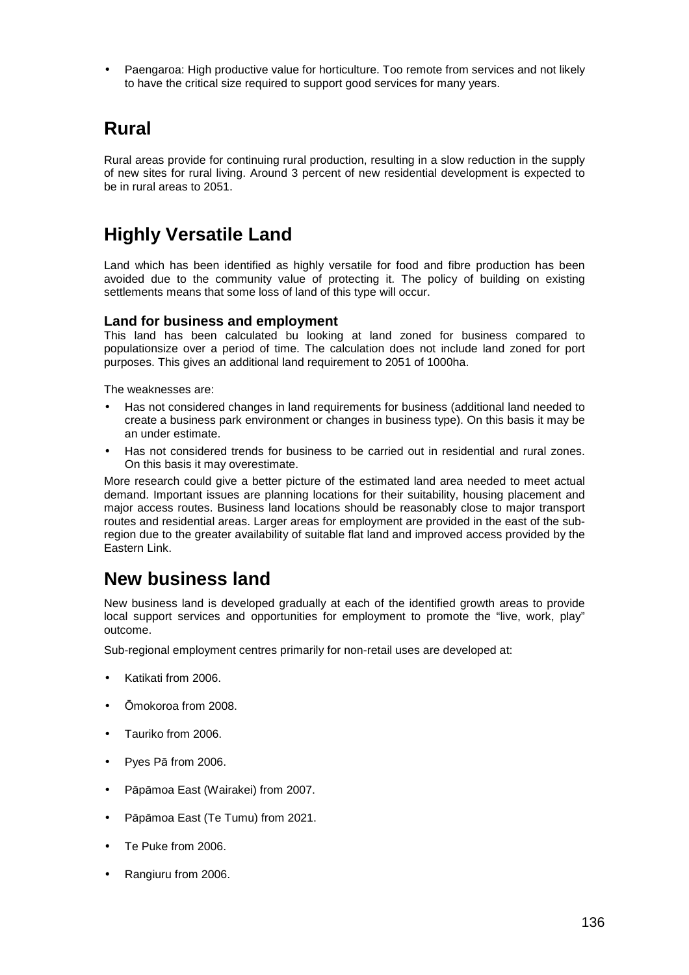• Paengaroa: High productive value for horticulture. Too remote from services and not likely to have the critical size required to support good services for many years.

## **Rural**

Rural areas provide for continuing rural production, resulting in a slow reduction in the supply of new sites for rural living. Around 3 percent of new residential development is expected to be in rural areas to 2051.

## **Highly Versatile Land**

Land which has been identified as highly versatile for food and fibre production has been avoided due to the community value of protecting it. The policy of building on existing settlements means that some loss of land of this type will occur.

## **Land for business and employment**

This land has been calculated bu looking at land zoned for business compared to populationsize over a period of time. The calculation does not include land zoned for port purposes. This gives an additional land requirement to 2051 of 1000ha.

The weaknesses are:

- Has not considered changes in land requirements for business (additional land needed to create a business park environment or changes in business type). On this basis it may be an under estimate.
- Has not considered trends for business to be carried out in residential and rural zones. On this basis it may overestimate.

More research could give a better picture of the estimated land area needed to meet actual demand. Important issues are planning locations for their suitability, housing placement and major access routes. Business land locations should be reasonably close to major transport routes and residential areas. Larger areas for employment are provided in the east of the subregion due to the greater availability of suitable flat land and improved access provided by the Eastern Link.

## **New business land**

New business land is developed gradually at each of the identified growth areas to provide local support services and opportunities for employment to promote the "live, work, play" outcome.

Sub-regional employment centres primarily for non-retail uses are developed at:

- Katikati from 2006.
- Ōmokoroa from 2008.
- Tauriko from 2006.
- Pyes Pā from 2006.
- Pāpāmoa East (Wairakei) from 2007.
- Pāpāmoa East (Te Tumu) from 2021.
- Te Puke from 2006.
- Rangiuru from 2006.